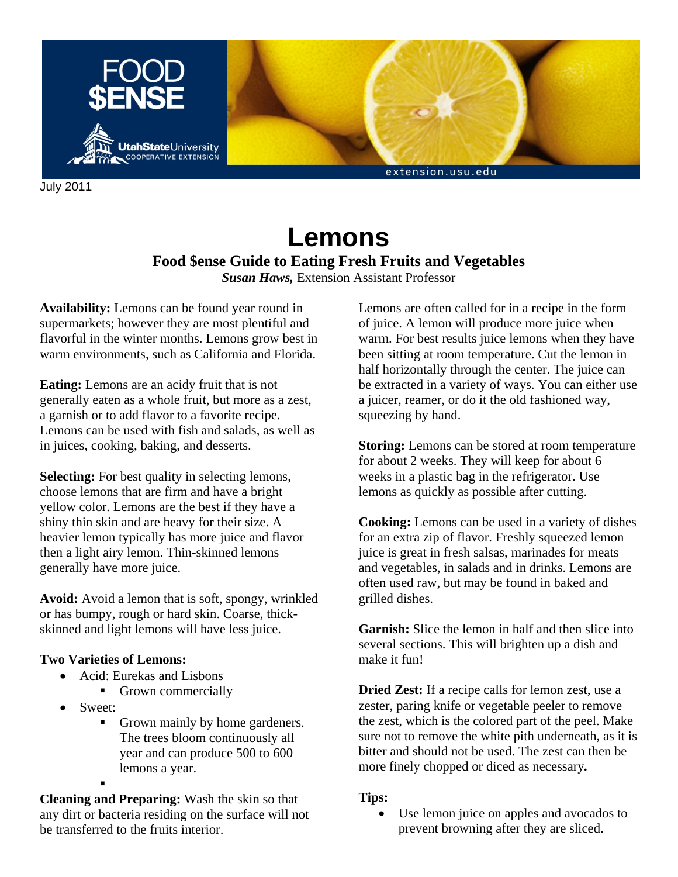

July 2011

# **Lemons**

# **Food \$ense Guide to Eating Fresh Fruits and Vegetables**

*Susan Haws,* Extension Assistant Professor

**Availability:** Lemons can be found year round in supermarkets; however they are most plentiful and flavorful in the winter months. Lemons grow best in warm environments, such as California and Florida.

**Eating:** Lemons are an acidy fruit that is not generally eaten as a whole fruit, but more as a zest, a garnish or to add flavor to a favorite recipe. Lemons can be used with fish and salads, as well as in juices, cooking, baking, and desserts.

**Selecting:** For best quality in selecting lemons, choose lemons that are firm and have a bright yellow color. Lemons are the best if they have a shiny thin skin and are heavy for their size. A heavier lemon typically has more juice and flavor then a light airy lemon. Thin-skinned lemons generally have more juice.

**Avoid:** Avoid a lemon that is soft, spongy, wrinkled or has bumpy, rough or hard skin. Coarse, thickskinned and light lemons will have less juice.

## **Two Varieties of Lemons:**

- Acid: Eurekas and Lisbons
	- Grown commercially
- Sweet:
	- Grown mainly by home gardeners. The trees bloom continuously all year and can produce 500 to 600 lemons a year. .

**Cleaning and Preparing:** Wash the skin so that any dirt or bacteria residing on the surface will not be transferred to the fruits interior.

Lemons are often called for in a recipe in the form of juice. A lemon will produce more juice when warm. For best results juice lemons when they have been sitting at room temperature. Cut the lemon in half horizontally through the center. The juice can be extracted in a variety of ways. You can either use a juicer, reamer, or do it the old fashioned way, squeezing by hand.

**Storing:** Lemons can be stored at room temperature for about 2 weeks. They will keep for about 6 weeks in a plastic bag in the refrigerator. Use lemons as quickly as possible after cutting.

**Cooking:** Lemons can be used in a variety of dishes for an extra zip of flavor. Freshly squeezed lemon juice is great in fresh salsas, marinades for meats and vegetables, in salads and in drinks. Lemons are often used raw, but may be found in baked and grilled dishes.

**Garnish:** Slice the lemon in half and then slice into several sections. This will brighten up a dish and make it fun!

**Dried Zest:** If a recipe calls for lemon zest, use a zester, paring knife or vegetable peeler to remove the zest, which is the colored part of the peel. Make sure not to remove the white pith underneath, as it is bitter and should not be used. The zest can then be more finely chopped or diced as necessary*.*

#### **Tips:**

• Use lemon juice on apples and avocados to prevent browning after they are sliced.